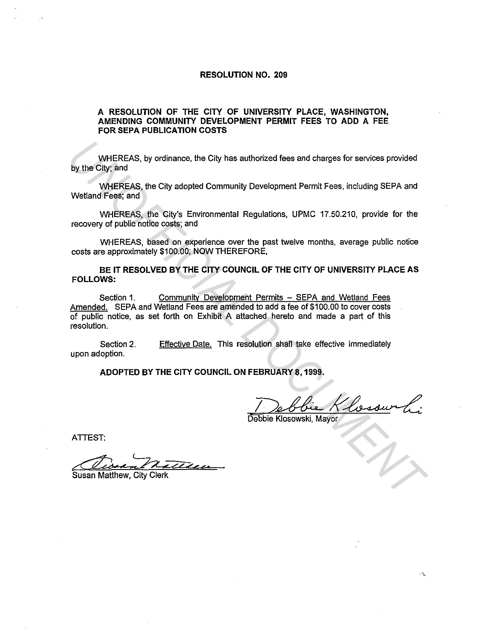## **RESOLUTION NO. 209**

## **A RESOLUTION OF THE CITY OF UNIVERSITY PLACE, WASHINGTON, AMENDING COMMUNITY DEVELOPMENT PERMIT FEES TO ADD A FEE FOR SEPA PUBLICATION COSTS**

WHEREAS, by ordinance. the City has authorized fees and charges for services provided by the City; and

WHEREAS, the City adopted Community Development Permit Fees, including SEPA and Wetland Fees; and

WHEREAS, the City's Environmental Regulations. UPMC 17.50.210, provide for the recovery of public notice costs; and

WHEREAS, based on experience over the past twelve months, average public notice costs are approximately \$100.00; NOW THEREFORE,

**BE IT RESOLVED BY THE CITY COUNCIL OF THE CITY OF UNIVERSITY PLACE AS FOLLOWS:** 

Section 1. Community Development Permits - SEPA and Wetland Fees Amended. SEPA and Wetland Fees are amended to add a fee of \$100.00 to cover costs of public notice, as set forth on Exhibit A attached hereto and made a part of this resolution. **UNIEREAS, by ordinance, the City has authorized tees and charges for services provided<br>
Dy the City and<br>
WHEREAS, the City dopted Community Development Permit Fees, including SEPA and<br>
WHEREAS, the City's Environmental Re** 

Section 2. upon adoption. Effective Date. This resolution shall take effective immediately

**ADOPTED BY THE CITY COUNCIL ON FEBRUARY 8, 1999.** 

ATTEST:

**Susan Matthew, City Clerk**